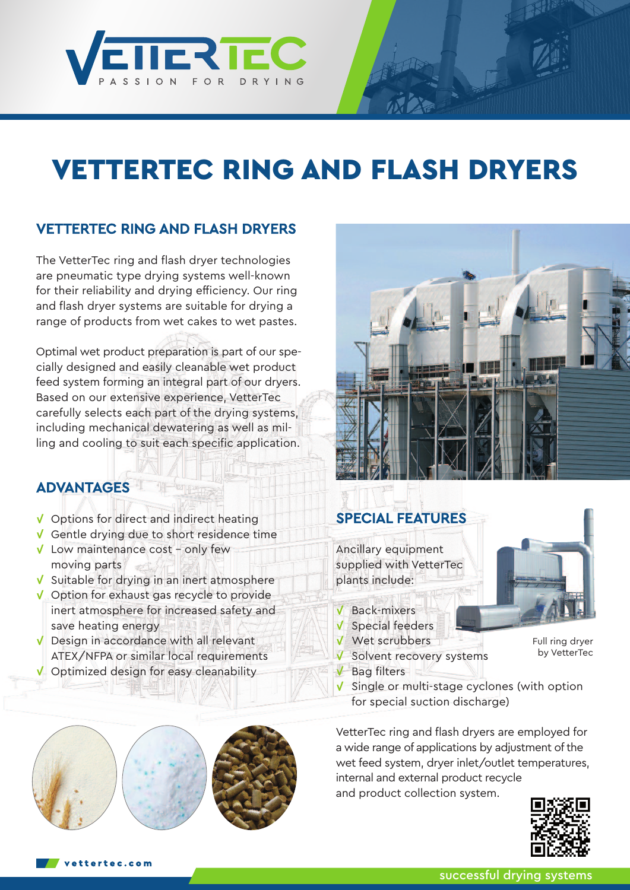

# **VETTERTEC RING AND FLASH DRYERS**

# VETTERTEC RING AND FLASH DRYERS

The VetterTec ring and flash dryer technologies are pneumatic type drying systems well-known for their reliability and drying efficiency. Our ring and flash dryer systems are suitable for drying a range of products from wet cakes to wet pastes.

Optimal wet product preparation is part of our specially designed and easily cleanable wet product feed system forming an integral part of our dryers. Based on our extensive experience, VetterTec carefully selects each part of the drying systems, including mechanical dewatering as well as milling and cooling to suit each specific application.

# ADVANTAGES

- $\sqrt{\phantom{a}}$  Options for direct and indirect heating
- Gentle drying due to short residence time
- $\sqrt{\phantom{a}}$  Low maintenance cost only few moving parts
- $\sqrt{\ }$  Suitable for drying in an inert atmosphere
- **V** Option for exhaust gas recycle to provide inert atmosphere for increased safety and save heating energy
- V Design in accordance with all relevant ATEX/NFPA or similar local requirements
- $\sqrt{\phantom{a}}$  Optimized design for easy cleanability



# SPECIAL FEATURES

Ancillary equipment supplied with VetterTec plants include:

- $V$  Back-mixers
- $\sqrt{\ }$  Special feeders
- Wet scrubbers
- V Solvent recovery systems
- $V$  Bag filters



 $\sqrt{\ }$  Single or multi-stage cyclones (with option for special suction discharge)

VetterTec ring and flash dryers are employed for a wide range of applications by adjustment of the wet feed system, dryer inlet/outlet temperatures, internal and external product recycle and product collection system.